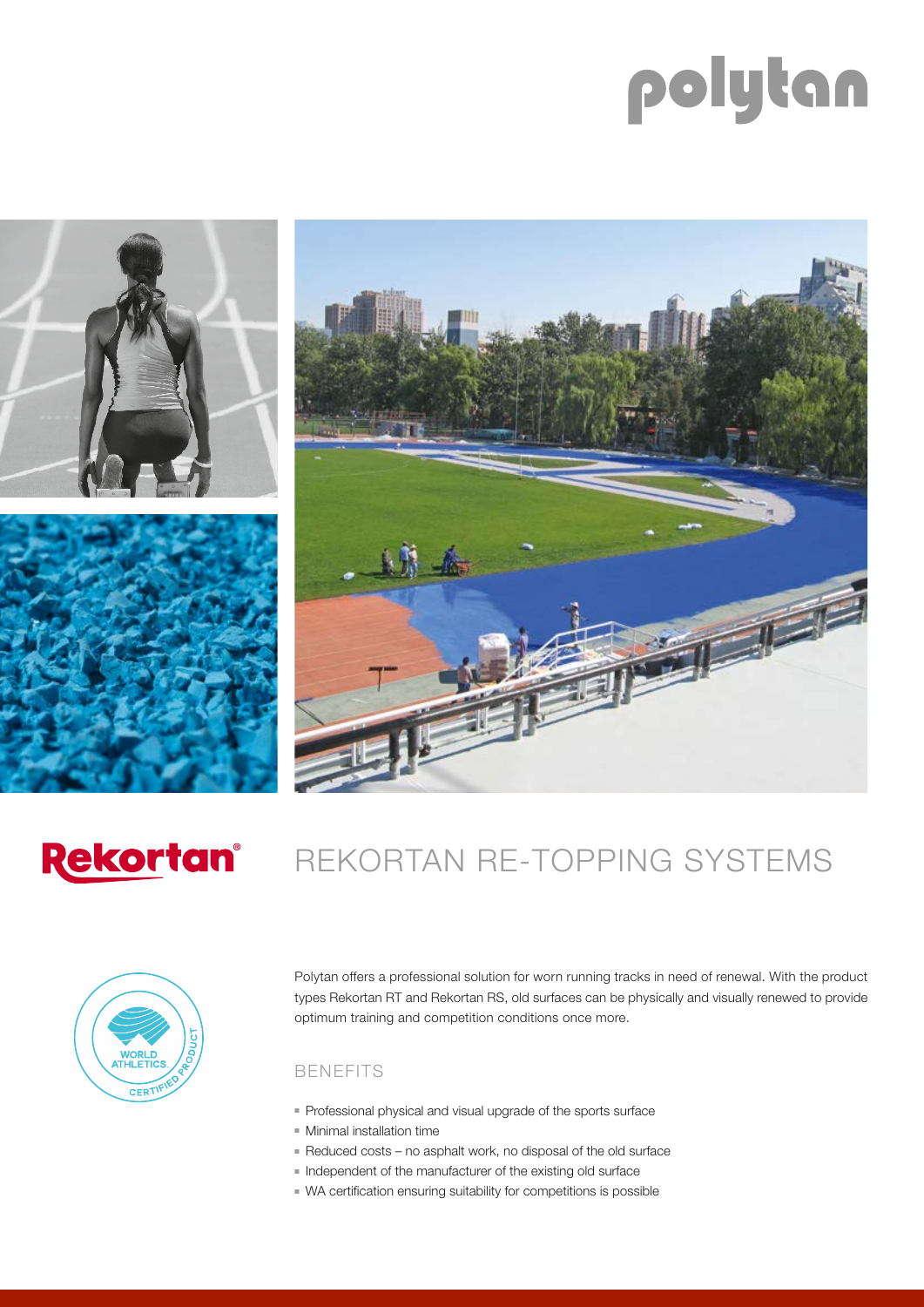# polytan





# Rekortan®

# REKORTAN RE-TOPPING SYSTEMS



Polytan offers a professional solution for worn running tracks in need of renewal. With the product types Rekortan RT and Rekortan RS, old surfaces can be physically and visually renewed to provide optimum training and competition conditions once more.

#### BENEFITS

- Professional physical and visual upgrade of the sports surface
- Minimal installation time
- Reduced costs no asphalt work, no disposal of the old surface
- Independent of the manufacturer of the existing old surface
- WA certification ensuring suitability for competitions is possible